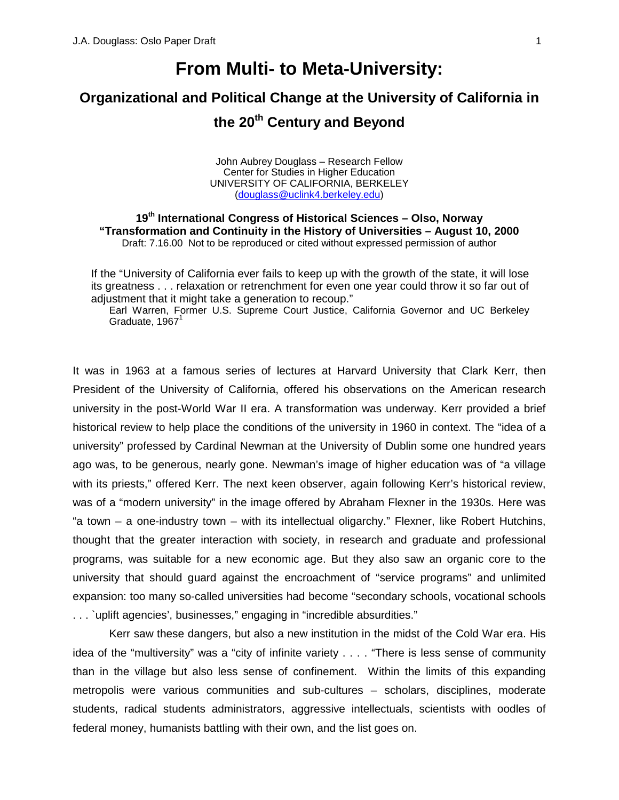# **From Multi- to Meta-University:**

# **Organizational and Political Change at the University of California in the 20th Century and Beyond**

John Aubrey Douglass – Research Fellow Center for Studies in Higher Education UNIVERSITY OF CALIFORNIA, BERKELEY ([douglass@uclink4.berkeley.edu\)](mailto:douglass@uclink4.berkeley.edu)

**19th International Congress of Historical Sciences – Olso, Norway "Transformation and Continuity in the History of Universities – August 10, 2000** Draft: 7.16.00 Not to be reproduced or cited without expressed permission of author

If the "University of California ever fails to keep up with the growth of the state, it will lose its greatness . . . relaxation or retrenchment for even one year could throw it so far out of adiustment that it might take a generation to recoup."

Earl Warren, Former U.S. Supreme Court Justice, California Governor and UC Berkeley Graduate,  $1967<sup>1</sup>$ 

It was in 1963 at a famous series of lectures at Harvard University that Clark Kerr, then President of the University of California, offered his observations on the American research university in the post-World War II era. A transformation was underway. Kerr provided a brief historical review to help place the conditions of the university in 1960 in context. The "idea of a university" professed by Cardinal Newman at the University of Dublin some one hundred years ago was, to be generous, nearly gone. Newman's image of higher education was of "a village with its priests," offered Kerr. The next keen observer, again following Kerr's historical review, was of a "modern university" in the image offered by Abraham Flexner in the 1930s. Here was "a town – a one-industry town – with its intellectual oligarchy." Flexner, like Robert Hutchins, thought that the greater interaction with society, in research and graduate and professional programs, was suitable for a new economic age. But they also saw an organic core to the university that should guard against the encroachment of "service programs" and unlimited expansion: too many so-called universities had become "secondary schools, vocational schools . . . `uplift agencies', businesses," engaging in "incredible absurdities."

Kerr saw these dangers, but also a new institution in the midst of the Cold War era. His idea of the "multiversity" was a "city of infinite variety . . . . "There is less sense of community than in the village but also less sense of confinement. Within the limits of this expanding metropolis were various communities and sub-cultures – scholars, disciplines, moderate students, radical students administrators, aggressive intellectuals, scientists with oodles of federal money, humanists battling with their own, and the list goes on.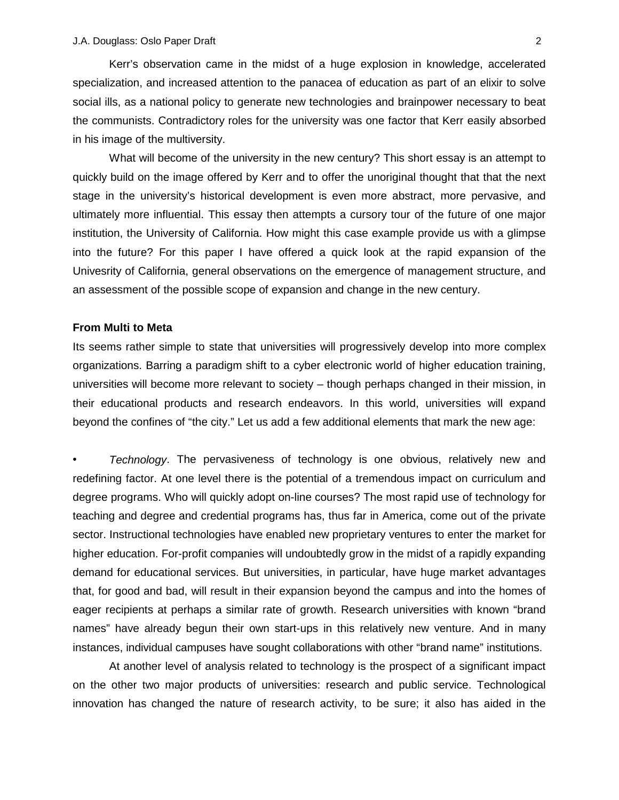Kerr's observation came in the midst of a huge explosion in knowledge, accelerated specialization, and increased attention to the panacea of education as part of an elixir to solve social ills, as a national policy to generate new technologies and brainpower necessary to beat the communists. Contradictory roles for the university was one factor that Kerr easily absorbed in his image of the multiversity.

What will become of the university in the new century? This short essay is an attempt to quickly build on the image offered by Kerr and to offer the unoriginal thought that that the next stage in the university's historical development is even more abstract, more pervasive, and ultimately more influential. This essay then attempts a cursory tour of the future of one major institution, the University of California. How might this case example provide us with a glimpse into the future? For this paper I have offered a quick look at the rapid expansion of the Univesrity of California, general observations on the emergence of management structure, and an assessment of the possible scope of expansion and change in the new century.

#### **From Multi to Meta**

Its seems rather simple to state that universities will progressively develop into more complex organizations. Barring a paradigm shift to a cyber electronic world of higher education training, universities will become more relevant to society – though perhaps changed in their mission, in their educational products and research endeavors. In this world, universities will expand beyond the confines of "the city." Let us add a few additional elements that mark the new age:

• *Technology*. The pervasiveness of technology is one obvious, relatively new and redefining factor. At one level there is the potential of a tremendous impact on curriculum and degree programs. Who will quickly adopt on-line courses? The most rapid use of technology for teaching and degree and credential programs has, thus far in America, come out of the private sector. Instructional technologies have enabled new proprietary ventures to enter the market for higher education. For-profit companies will undoubtedly grow in the midst of a rapidly expanding demand for educational services. But universities, in particular, have huge market advantages that, for good and bad, will result in their expansion beyond the campus and into the homes of eager recipients at perhaps a similar rate of growth. Research universities with known "brand names" have already begun their own start-ups in this relatively new venture. And in many instances, individual campuses have sought collaborations with other "brand name" institutions.

At another level of analysis related to technology is the prospect of a significant impact on the other two major products of universities: research and public service. Technological innovation has changed the nature of research activity, to be sure; it also has aided in the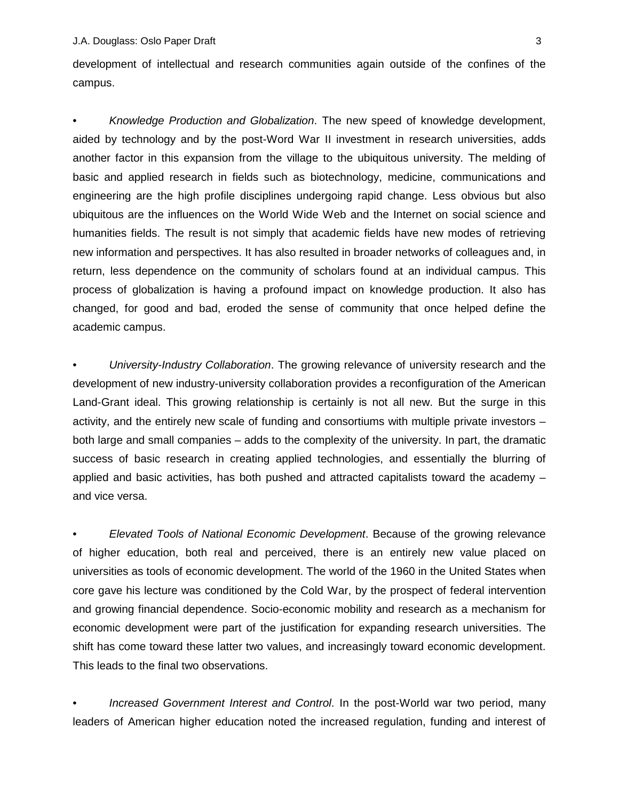development of intellectual and research communities again outside of the confines of the campus.

• *Knowledge Production and Globalization*. The new speed of knowledge development, aided by technology and by the post-Word War II investment in research universities, adds another factor in this expansion from the village to the ubiquitous university. The melding of basic and applied research in fields such as biotechnology, medicine, communications and engineering are the high profile disciplines undergoing rapid change. Less obvious but also ubiquitous are the influences on the World Wide Web and the Internet on social science and humanities fields. The result is not simply that academic fields have new modes of retrieving new information and perspectives. It has also resulted in broader networks of colleagues and, in return, less dependence on the community of scholars found at an individual campus. This process of globalization is having a profound impact on knowledge production. It also has changed, for good and bad, eroded the sense of community that once helped define the academic campus.

• *University-Industry Collaboration*. The growing relevance of university research and the development of new industry-university collaboration provides a reconfiguration of the American Land-Grant ideal. This growing relationship is certainly is not all new. But the surge in this activity, and the entirely new scale of funding and consortiums with multiple private investors – both large and small companies – adds to the complexity of the university. In part, the dramatic success of basic research in creating applied technologies, and essentially the blurring of applied and basic activities, has both pushed and attracted capitalists toward the academy – and vice versa.

• *Elevated Tools of National Economic Development*. Because of the growing relevance of higher education, both real and perceived, there is an entirely new value placed on universities as tools of economic development. The world of the 1960 in the United States when core gave his lecture was conditioned by the Cold War, by the prospect of federal intervention and growing financial dependence. Socio-economic mobility and research as a mechanism for economic development were part of the justification for expanding research universities. The shift has come toward these latter two values, and increasingly toward economic development. This leads to the final two observations.

• *Increased Government Interest and Control*. In the post-World war two period, many leaders of American higher education noted the increased regulation, funding and interest of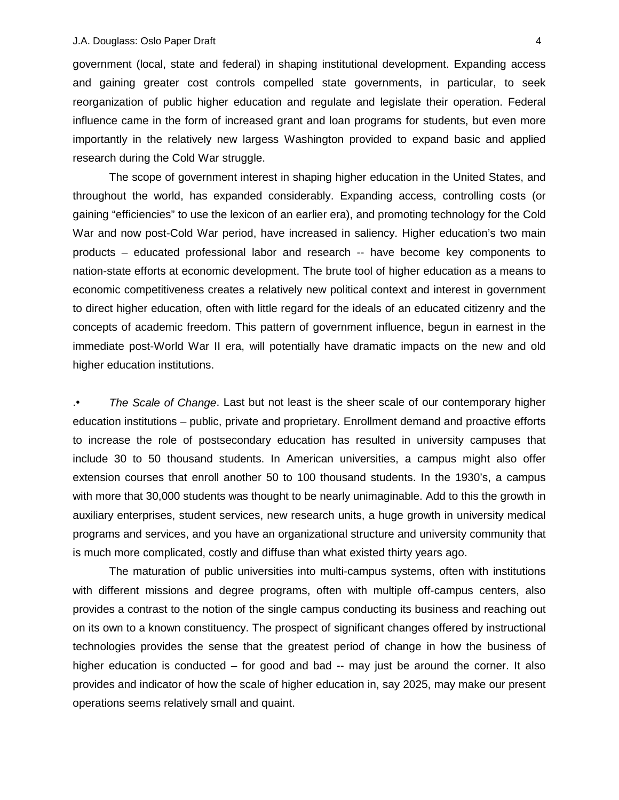government (local, state and federal) in shaping institutional development. Expanding access and gaining greater cost controls compelled state governments, in particular, to seek reorganization of public higher education and regulate and legislate their operation. Federal influence came in the form of increased grant and loan programs for students, but even more importantly in the relatively new largess Washington provided to expand basic and applied research during the Cold War struggle.

The scope of government interest in shaping higher education in the United States, and throughout the world, has expanded considerably. Expanding access, controlling costs (or gaining "efficiencies" to use the lexicon of an earlier era), and promoting technology for the Cold War and now post-Cold War period, have increased in saliency. Higher education's two main products – educated professional labor and research -- have become key components to nation-state efforts at economic development. The brute tool of higher education as a means to economic competitiveness creates a relatively new political context and interest in government to direct higher education, often with little regard for the ideals of an educated citizenry and the concepts of academic freedom. This pattern of government influence, begun in earnest in the immediate post-World War II era, will potentially have dramatic impacts on the new and old higher education institutions.

.• *The Scale of Change*. Last but not least is the sheer scale of our contemporary higher education institutions – public, private and proprietary. Enrollment demand and proactive efforts to increase the role of postsecondary education has resulted in university campuses that include 30 to 50 thousand students. In American universities, a campus might also offer extension courses that enroll another 50 to 100 thousand students. In the 1930's, a campus with more that 30,000 students was thought to be nearly unimaginable. Add to this the growth in auxiliary enterprises, student services, new research units, a huge growth in university medical programs and services, and you have an organizational structure and university community that is much more complicated, costly and diffuse than what existed thirty years ago.

The maturation of public universities into multi-campus systems, often with institutions with different missions and degree programs, often with multiple off-campus centers, also provides a contrast to the notion of the single campus conducting its business and reaching out on its own to a known constituency. The prospect of significant changes offered by instructional technologies provides the sense that the greatest period of change in how the business of higher education is conducted – for good and bad -- may just be around the corner. It also provides and indicator of how the scale of higher education in, say 2025, may make our present operations seems relatively small and quaint.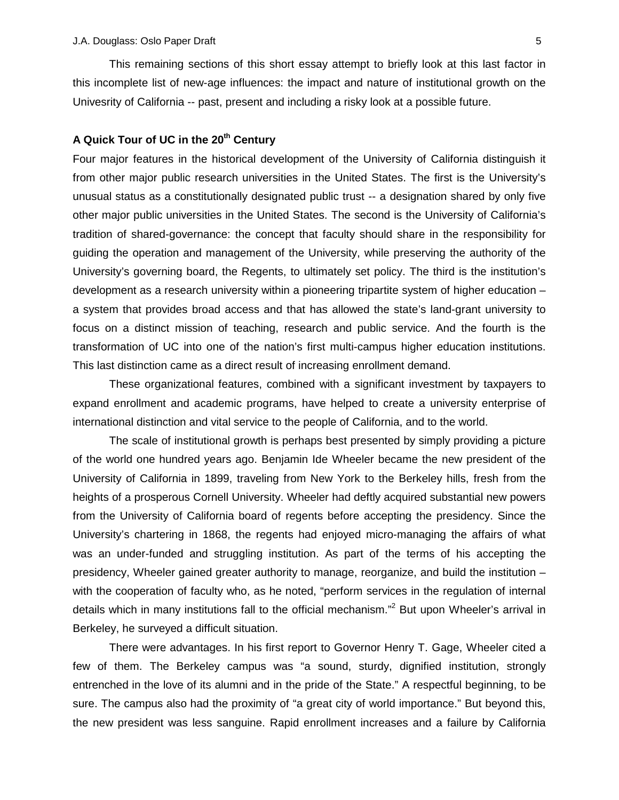This remaining sections of this short essay attempt to briefly look at this last factor in this incomplete list of new-age influences: the impact and nature of institutional growth on the Univesrity of California -- past, present and including a risky look at a possible future.

# A Quick Tour of UC in the 20<sup>th</sup> Century

Four major features in the historical development of the University of California distinguish it from other major public research universities in the United States. The first is the University's unusual status as a constitutionally designated public trust -- a designation shared by only five other major public universities in the United States. The second is the University of California's tradition of shared-governance: the concept that faculty should share in the responsibility for guiding the operation and management of the University, while preserving the authority of the University's governing board, the Regents, to ultimately set policy. The third is the institution's development as a research university within a pioneering tripartite system of higher education – a system that provides broad access and that has allowed the state's land-grant university to focus on a distinct mission of teaching, research and public service. And the fourth is the transformation of UC into one of the nation's first multi-campus higher education institutions. This last distinction came as a direct result of increasing enrollment demand.

These organizational features, combined with a significant investment by taxpayers to expand enrollment and academic programs, have helped to create a university enterprise of international distinction and vital service to the people of California, and to the world.

The scale of institutional growth is perhaps best presented by simply providing a picture of the world one hundred years ago. Benjamin Ide Wheeler became the new president of the University of California in 1899, traveling from New York to the Berkeley hills, fresh from the heights of a prosperous Cornell University. Wheeler had deftly acquired substantial new powers from the University of California board of regents before accepting the presidency. Since the University's chartering in 1868, the regents had enjoyed micro-managing the affairs of what was an under-funded and struggling institution. As part of the terms of his accepting the presidency, Wheeler gained greater authority to manage, reorganize, and build the institution – with the cooperation of faculty who, as he noted, "perform services in the regulation of internal details which in many institutions fall to the official mechanism."<sup>[2](#page-23-0)</sup> But upon Wheeler's arrival in Berkeley, he surveyed a difficult situation.

There were advantages. In his first report to Governor Henry T. Gage, Wheeler cited a few of them. The Berkeley campus was "a sound, sturdy, dignified institution, strongly entrenched in the love of its alumni and in the pride of the State." A respectful beginning, to be sure. The campus also had the proximity of "a great city of world importance." But beyond this, the new president was less sanguine. Rapid enrollment increases and a failure by California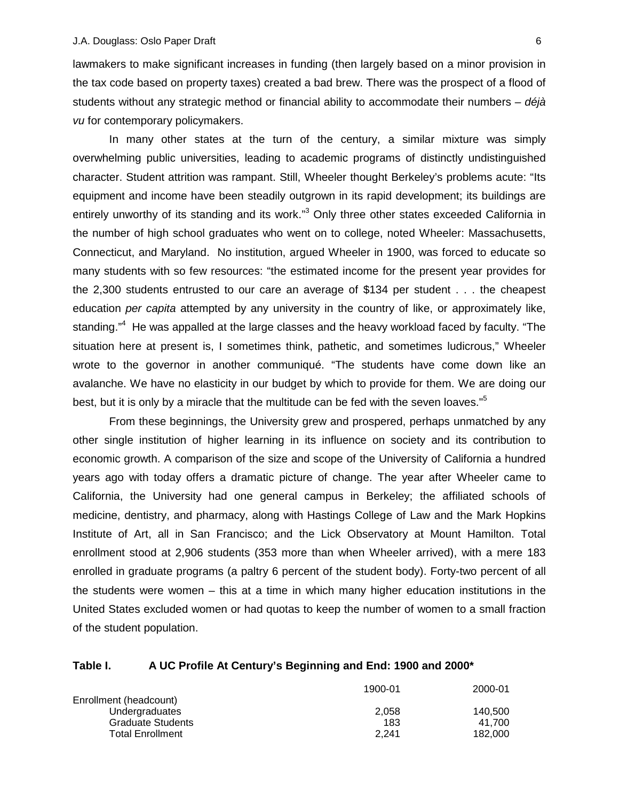lawmakers to make significant increases in funding (then largely based on a minor provision in the tax code based on property taxes) created a bad brew. There was the prospect of a flood of students without any strategic method or financial ability to accommodate their numbers – *déjà vu* for contemporary policymakers.

In many other states at the turn of the century, a similar mixture was simply overwhelming public universities, leading to academic programs of distinctly undistinguished character. Student attrition was rampant. Still, Wheeler thought Berkeley's problems acute: "Its equipment and income have been steadily outgrown in its rapid development; its buildings are entirely unworthy of its standing and its work."<sup>[3](#page-23-0)</sup> Only three other states exceeded California in the number of high school graduates who went on to college, noted Wheeler: Massachusetts, Connecticut, and Maryland. No institution, argued Wheeler in 1900, was forced to educate so many students with so few resources: "the estimated income for the present year provides for the 2,300 students entrusted to our care an average of \$134 per student . . . the cheapest education *per capita* attempted by any university in the country of like, or approximately like, standing."<sup>[4](#page-23-0)</sup> He was appalled at the large classes and the heavy workload faced by faculty. "The situation here at present is, I sometimes think, pathetic, and sometimes ludicrous," Wheeler wrote to the governor in another communiqué. "The students have come down like an avalanche. We have no elasticity in our budget by which to provide for them. We are doing our best, but it is only by a miracle that the multitude can be fed with the seven loaves."<sup>5</sup>

From these beginnings, the University grew and prospered, perhaps unmatched by any other single institution of higher learning in its influence on society and its contribution to economic growth. A comparison of the size and scope of the University of California a hundred years ago with today offers a dramatic picture of change. The year after Wheeler came to California, the University had one general campus in Berkeley; the affiliated schools of medicine, dentistry, and pharmacy, along with Hastings College of Law and the Mark Hopkins Institute of Art, all in San Francisco; and the Lick Observatory at Mount Hamilton. Total enrollment stood at 2,906 students (353 more than when Wheeler arrived), with a mere 183 enrolled in graduate programs (a paltry 6 percent of the student body). Forty-two percent of all the students were women – this at a time in which many higher education institutions in the United States excluded women or had quotas to keep the number of women to a small fraction of the student population.

# **Table I. A UC Profile At Century's Beginning and End: 1900 and 2000\***

|                         | 1900-01 | 2000-01 |
|-------------------------|---------|---------|
| Enrollment (headcount)  |         |         |
| Undergraduates          | 2.058   | 140.500 |
| Graduate Students       | 183     | 41.700  |
| <b>Total Enrollment</b> | 2.241   | 182.000 |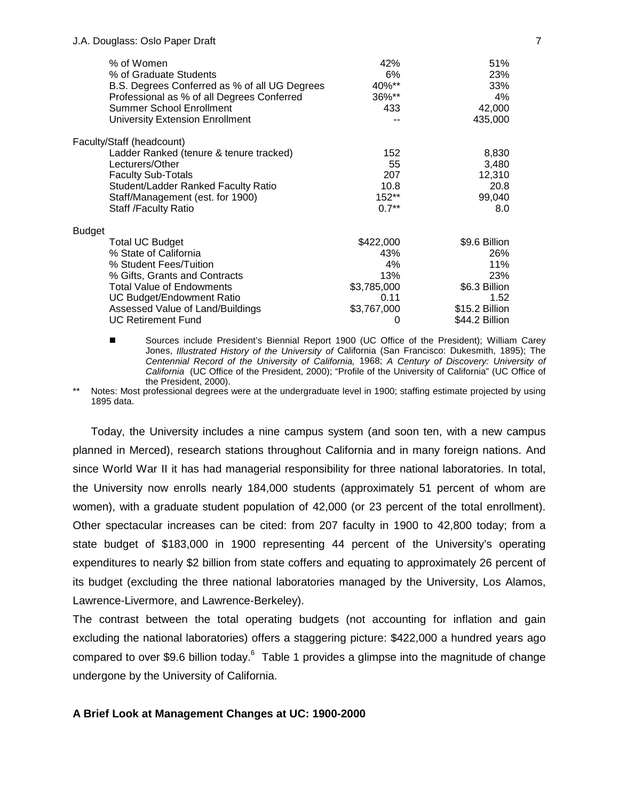| % of Women                                    | 42%         | 51%            |
|-----------------------------------------------|-------------|----------------|
| % of Graduate Students                        | 6%          | 23%            |
| B.S. Degrees Conferred as % of all UG Degrees | 40%**       | 33%            |
| Professional as % of all Degrees Conferred    | 36%**       | 4%             |
| <b>Summer School Enrollment</b>               | 433         | 42,000         |
| University Extension Enrollment               |             | 435,000        |
| Faculty/Staff (headcount)                     |             |                |
| Ladder Ranked (tenure & tenure tracked)       | 152         | 8,830          |
| Lecturers/Other                               | 55          | 3,480          |
| <b>Faculty Sub-Totals</b>                     | 207         | 12,310         |
| Student/Ladder Ranked Faculty Ratio           | 10.8        | 20.8           |
| Staff/Management (est. for 1900)              | 152**       | 99,040         |
| <b>Staff /Faculty Ratio</b>                   | $0.7**$     | 8.0            |
| Budget                                        |             |                |
| <b>Total UC Budget</b>                        | \$422,000   | \$9.6 Billion  |
| % State of California                         | 43%         | 26%            |
| % Student Fees/Tuition                        | 4%          | 11%            |
| % Gifts, Grants and Contracts                 | 13%         | 23%            |
| <b>Total Value of Endowments</b>              | \$3,785,000 | \$6.3 Billion  |
| <b>UC Budget/Endowment Ratio</b>              | 0.11        | 1.52           |
| Assessed Value of Land/Buildings              | \$3,767,000 | \$15.2 Billion |
| <b>UC Retirement Fund</b>                     | 0           | \$44.2 Billion |

! Sources include President's Biennial Report 1900 (UC Office of the President); William Carey Jones, *Illustrated History of the University of* California (San Francisco: Dukesmith, 1895); The *Centennial Record of the University of California,* 1968; *A Century of Discovery: University of California* (UC Office of the President, 2000); "Profile of the University of California" (UC Office of the President, 2000).

Notes: Most professional degrees were at the undergraduate level in 1900; staffing estimate projected by using 1895 data.

Today, the University includes a nine campus system (and soon ten, with a new campus planned in Merced), research stations throughout California and in many foreign nations. And since World War II it has had managerial responsibility for three national laboratories. In total, the University now enrolls nearly 184,000 students (approximately 51 percent of whom are women), with a graduate student population of 42,000 (or 23 percent of the total enrollment). Other spectacular increases can be cited: from 207 faculty in 1900 to 42,800 today; from a state budget of \$183,000 in 1900 representing 44 percent of the University's operating expenditures to nearly \$2 billion from state coffers and equating to approximately 26 percent of its budget (excluding the three national laboratories managed by the University, Los Alamos, Lawrence-Livermore, and Lawrence-Berkeley).

The contrast between the total operating budgets (not accounting for inflation and gain excluding the national laboratories) offers a staggering picture: \$422,000 a hundred years ago compared to over \$9.[6](#page-23-0) billion today. $^6$  Table 1 provides a glimpse into the magnitude of change undergone by the University of California.

# **A Brief Look at Management Changes at UC: 1900-2000**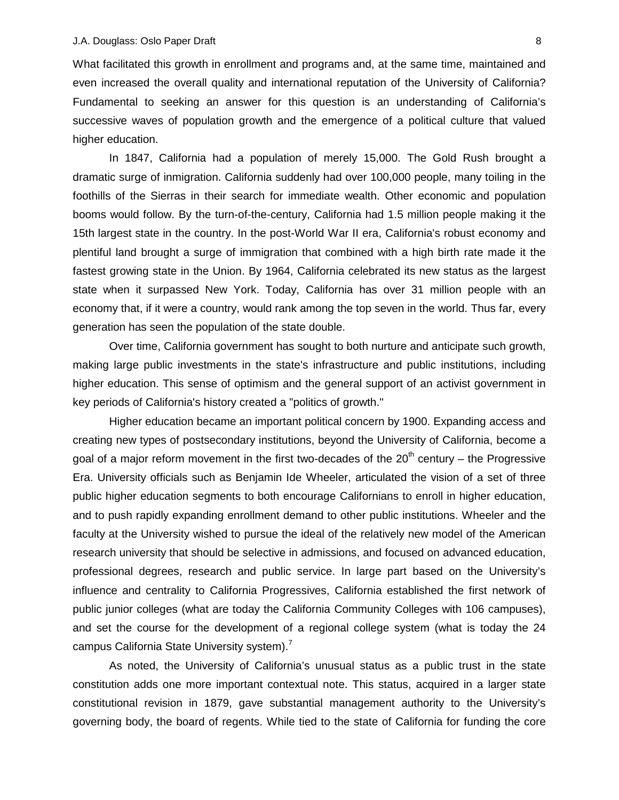What facilitated this growth in enrollment and programs and, at the same time, maintained and even increased the overall quality and international reputation of the University of California? Fundamental to seeking an answer for this question is an understanding of California's successive waves of population growth and the emergence of a political culture that valued higher education.

In 1847, California had a population of merely 15,000. The Gold Rush brought a dramatic surge of inmigration. California suddenly had over 100,000 people, many toiling in the foothills of the Sierras in their search for immediate wealth. Other economic and population booms would follow. By the turn-of-the-century, California had 1.5 million people making it the 15th largest state in the country. In the post-World War II era, California's robust economy and plentiful land brought a surge of immigration that combined with a high birth rate made it the fastest growing state in the Union. By 1964, California celebrated its new status as the largest state when it surpassed New York. Today, California has over 31 million people with an economy that, if it were a country, would rank among the top seven in the world. Thus far, every generation has seen the population of the state double.

Over time, California government has sought to both nurture and anticipate such growth, making large public investments in the state's infrastructure and public institutions, including higher education. This sense of optimism and the general support of an activist government in key periods of California's history created a "politics of growth."

Higher education became an important political concern by 1900. Expanding access and creating new types of postsecondary institutions, beyond the University of California, become a goal of a major reform movement in the first two-decades of the  $20<sup>th</sup>$  century – the Progressive Era. University officials such as Benjamin Ide Wheeler, articulated the vision of a set of three public higher education segments to both encourage Californians to enroll in higher education, and to push rapidly expanding enrollment demand to other public institutions. Wheeler and the faculty at the University wished to pursue the ideal of the relatively new model of the American research university that should be selective in admissions, and focused on advanced education, professional degrees, research and public service. In large part based on the University's influence and centrality to California Progressives, California established the first network of public junior colleges (what are today the California Community Colleges with 106 campuses), and set the course for the development of a regional college system (what is today the 24 campus California State University system).<sup>[7](#page-23-0)</sup>

As noted, the University of California's unusual status as a public trust in the state constitution adds one more important contextual note. This status, acquired in a larger state constitutional revision in 1879, gave substantial management authority to the University's governing body, the board of regents. While tied to the state of California for funding the core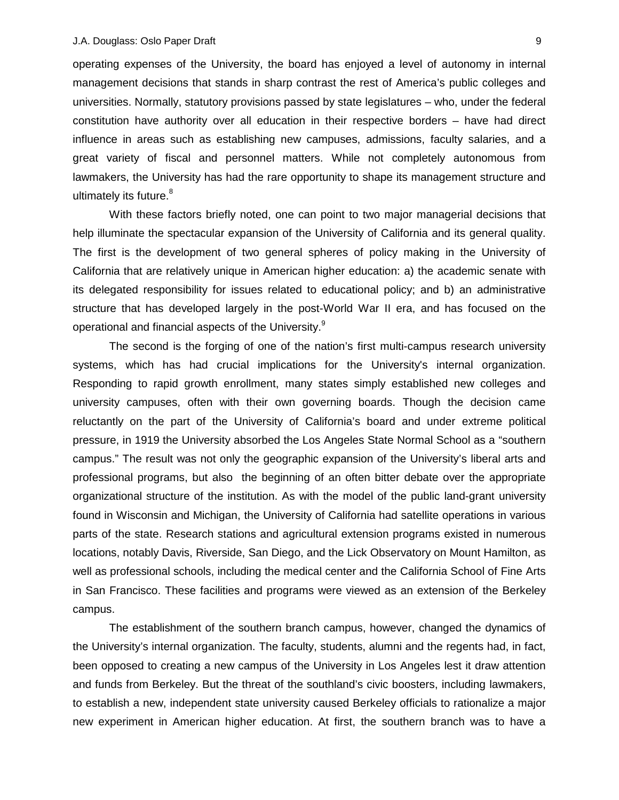operating expenses of the University, the board has enjoyed a level of autonomy in internal management decisions that stands in sharp contrast the rest of America's public colleges and universities. Normally, statutory provisions passed by state legislatures – who, under the federal constitution have authority over all education in their respective borders – have had direct influence in areas such as establishing new campuses, admissions, faculty salaries, and a great variety of fiscal and personnel matters. While not completely autonomous from lawmakers, the University has had the rare opportunity to shape its management structure and ultimately its future. $8$ 

With these factors briefly noted, one can point to two major managerial decisions that help illuminate the spectacular expansion of the University of California and its general quality. The first is the development of two general spheres of policy making in the University of California that are relatively unique in American higher education: a) the academic senate with its delegated responsibility for issues related to educational policy; and b) an administrative structure that has developed largely in the post-World War II era, and has focused on the operational and financial aspects of the University.<sup>[9](#page-23-0)</sup>

The second is the forging of one of the nation's first multi-campus research university systems, which has had crucial implications for the University's internal organization. Responding to rapid growth enrollment, many states simply established new colleges and university campuses, often with their own governing boards. Though the decision came reluctantly on the part of the University of California's board and under extreme political pressure, in 1919 the University absorbed the Los Angeles State Normal School as a "southern campus." The result was not only the geographic expansion of the University's liberal arts and professional programs, but also the beginning of an often bitter debate over the appropriate organizational structure of the institution. As with the model of the public land-grant university found in Wisconsin and Michigan, the University of California had satellite operations in various parts of the state. Research stations and agricultural extension programs existed in numerous locations, notably Davis, Riverside, San Diego, and the Lick Observatory on Mount Hamilton, as well as professional schools, including the medical center and the California School of Fine Arts in San Francisco. These facilities and programs were viewed as an extension of the Berkeley campus.

The establishment of the southern branch campus, however, changed the dynamics of the University's internal organization. The faculty, students, alumni and the regents had, in fact, been opposed to creating a new campus of the University in Los Angeles lest it draw attention and funds from Berkeley. But the threat of the southland's civic boosters, including lawmakers, to establish a new, independent state university caused Berkeley officials to rationalize a major new experiment in American higher education. At first, the southern branch was to have a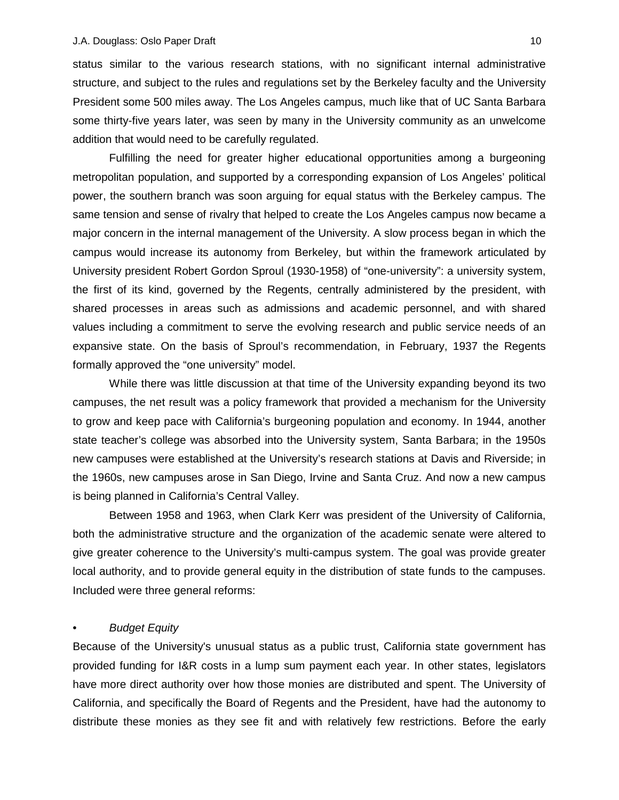status similar to the various research stations, with no significant internal administrative structure, and subject to the rules and regulations set by the Berkeley faculty and the University President some 500 miles away. The Los Angeles campus, much like that of UC Santa Barbara some thirty-five years later, was seen by many in the University community as an unwelcome addition that would need to be carefully regulated.

Fulfilling the need for greater higher educational opportunities among a burgeoning metropolitan population, and supported by a corresponding expansion of Los Angeles' political power, the southern branch was soon arguing for equal status with the Berkeley campus. The same tension and sense of rivalry that helped to create the Los Angeles campus now became a major concern in the internal management of the University. A slow process began in which the campus would increase its autonomy from Berkeley, but within the framework articulated by University president Robert Gordon Sproul (1930-1958) of "one-university": a university system, the first of its kind, governed by the Regents, centrally administered by the president, with shared processes in areas such as admissions and academic personnel, and with shared values including a commitment to serve the evolving research and public service needs of an expansive state. On the basis of Sproul's recommendation, in February, 1937 the Regents formally approved the "one university" model.

While there was little discussion at that time of the University expanding beyond its two campuses, the net result was a policy framework that provided a mechanism for the University to grow and keep pace with California's burgeoning population and economy. In 1944, another state teacher's college was absorbed into the University system, Santa Barbara; in the 1950s new campuses were established at the University's research stations at Davis and Riverside; in the 1960s, new campuses arose in San Diego, Irvine and Santa Cruz. And now a new campus is being planned in California's Central Valley.

Between 1958 and 1963, when Clark Kerr was president of the University of California, both the administrative structure and the organization of the academic senate were altered to give greater coherence to the University's multi-campus system. The goal was provide greater local authority, and to provide general equity in the distribution of state funds to the campuses. Included were three general reforms:

# • *Budget Equity*

Because of the University's unusual status as a public trust, California state government has provided funding for I&R costs in a lump sum payment each year. In other states, legislators have more direct authority over how those monies are distributed and spent. The University of California, and specifically the Board of Regents and the President, have had the autonomy to distribute these monies as they see fit and with relatively few restrictions. Before the early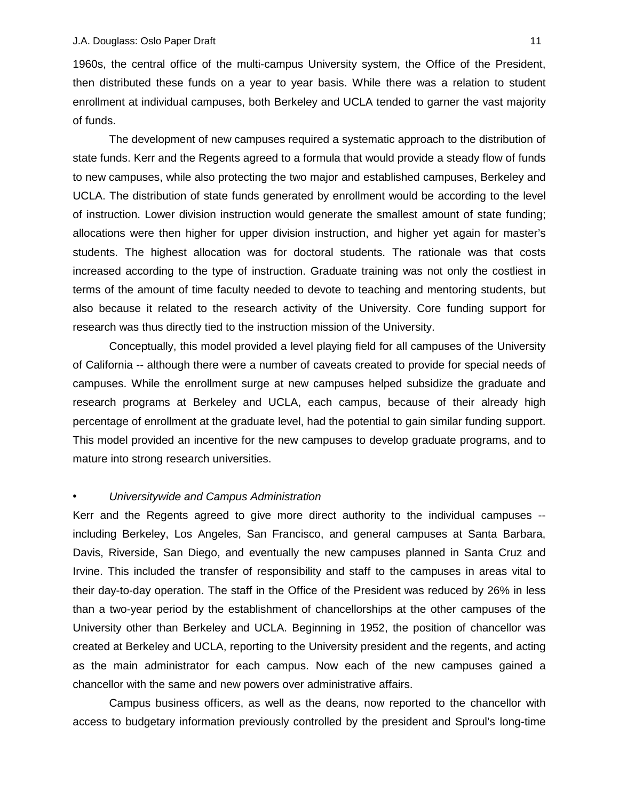1960s, the central office of the multi-campus University system, the Office of the President, then distributed these funds on a year to year basis. While there was a relation to student enrollment at individual campuses, both Berkeley and UCLA tended to garner the vast majority of funds.

The development of new campuses required a systematic approach to the distribution of state funds. Kerr and the Regents agreed to a formula that would provide a steady flow of funds to new campuses, while also protecting the two major and established campuses, Berkeley and UCLA. The distribution of state funds generated by enrollment would be according to the level of instruction. Lower division instruction would generate the smallest amount of state funding; allocations were then higher for upper division instruction, and higher yet again for master's students. The highest allocation was for doctoral students. The rationale was that costs increased according to the type of instruction. Graduate training was not only the costliest in terms of the amount of time faculty needed to devote to teaching and mentoring students, but also because it related to the research activity of the University. Core funding support for research was thus directly tied to the instruction mission of the University.

Conceptually, this model provided a level playing field for all campuses of the University of California -- although there were a number of caveats created to provide for special needs of campuses. While the enrollment surge at new campuses helped subsidize the graduate and research programs at Berkeley and UCLA, each campus, because of their already high percentage of enrollment at the graduate level, had the potential to gain similar funding support. This model provided an incentive for the new campuses to develop graduate programs, and to mature into strong research universities.

#### • *Universitywide and Campus Administration*

Kerr and the Regents agreed to give more direct authority to the individual campuses - including Berkeley, Los Angeles, San Francisco, and general campuses at Santa Barbara, Davis, Riverside, San Diego, and eventually the new campuses planned in Santa Cruz and Irvine. This included the transfer of responsibility and staff to the campuses in areas vital to their day-to-day operation. The staff in the Office of the President was reduced by 26% in less than a two-year period by the establishment of chancellorships at the other campuses of the University other than Berkeley and UCLA. Beginning in 1952, the position of chancellor was created at Berkeley and UCLA, reporting to the University president and the regents, and acting as the main administrator for each campus. Now each of the new campuses gained a chancellor with the same and new powers over administrative affairs.

Campus business officers, as well as the deans, now reported to the chancellor with access to budgetary information previously controlled by the president and Sproul's long-time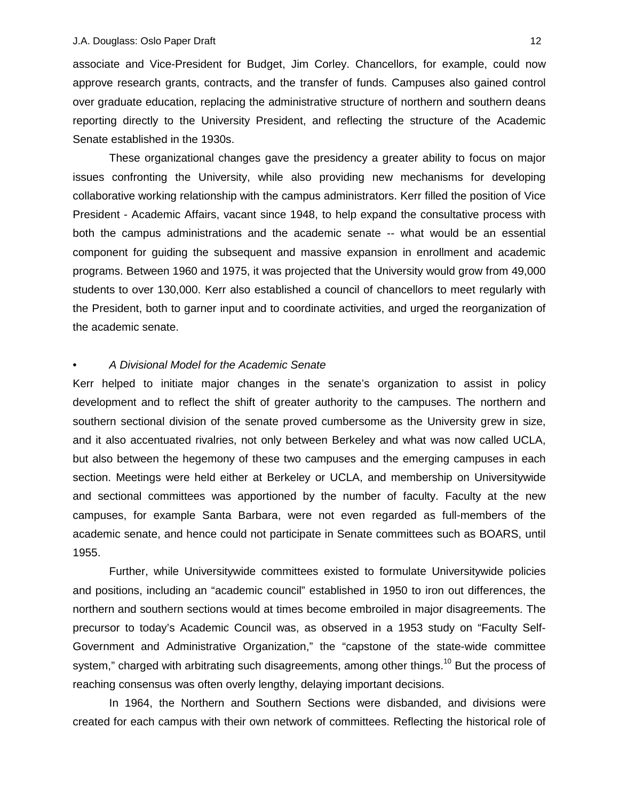associate and Vice-President for Budget, Jim Corley. Chancellors, for example, could now approve research grants, contracts, and the transfer of funds. Campuses also gained control over graduate education, replacing the administrative structure of northern and southern deans reporting directly to the University President, and reflecting the structure of the Academic Senate established in the 1930s.

These organizational changes gave the presidency a greater ability to focus on major issues confronting the University, while also providing new mechanisms for developing collaborative working relationship with the campus administrators. Kerr filled the position of Vice President - Academic Affairs, vacant since 1948, to help expand the consultative process with both the campus administrations and the academic senate -- what would be an essential component for guiding the subsequent and massive expansion in enrollment and academic programs. Between 1960 and 1975, it was projected that the University would grow from 49,000 students to over 130,000. Kerr also established a council of chancellors to meet regularly with the President, both to garner input and to coordinate activities, and urged the reorganization of the academic senate.

#### • *A Divisional Model for the Academic Senate*

Kerr helped to initiate major changes in the senate's organization to assist in policy development and to reflect the shift of greater authority to the campuses. The northern and southern sectional division of the senate proved cumbersome as the University grew in size, and it also accentuated rivalries, not only between Berkeley and what was now called UCLA, but also between the hegemony of these two campuses and the emerging campuses in each section. Meetings were held either at Berkeley or UCLA, and membership on Universitywide and sectional committees was apportioned by the number of faculty. Faculty at the new campuses, for example Santa Barbara, were not even regarded as full-members of the academic senate, and hence could not participate in Senate committees such as BOARS, until 1955.

Further, while Universitywide committees existed to formulate Universitywide policies and positions, including an "academic council" established in 1950 to iron out differences, the northern and southern sections would at times become embroiled in major disagreements. The precursor to today's Academic Council was, as observed in a 1953 study on "Faculty Self-Government and Administrative Organization," the "capstone of the state-wide committee system," charged with arbitrating such disagreements, among other things.<sup>10</sup> But the process of reaching consensus was often overly lengthy, delaying important decisions.

In 1964, the Northern and Southern Sections were disbanded, and divisions were created for each campus with their own network of committees. Reflecting the historical role of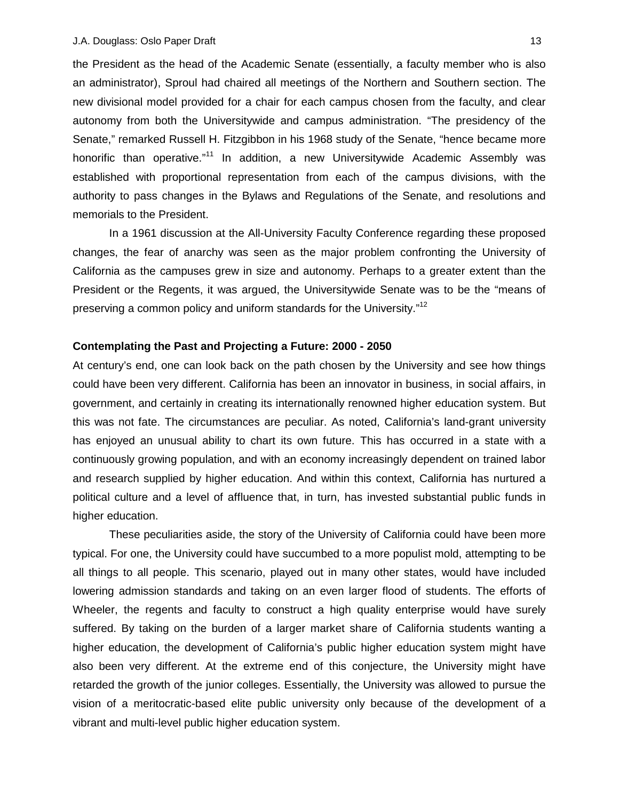the President as the head of the Academic Senate (essentially, a faculty member who is also an administrator), Sproul had chaired all meetings of the Northern and Southern section. The new divisional model provided for a chair for each campus chosen from the faculty, and clear autonomy from both the Universitywide and campus administration. "The presidency of the Senate," remarked Russell H. Fitzgibbon in his 1968 study of the Senate, "hence became more honorific than operative."<sup>11</sup> In addition, a new Universitywide Academic Assembly was established with proportional representation from each of the campus divisions, with the authority to pass changes in the Bylaws and Regulations of the Senate, and resolutions and memorials to the President.

In a 1961 discussion at the All-University Faculty Conference regarding these proposed changes, the fear of anarchy was seen as the major problem confronting the University of California as the campuses grew in size and autonomy. Perhaps to a greater extent than the President or the Regents, it was argued, the Universitywide Senate was to be the "means of preserving a common policy and uniform standards for the University."<sup>[12](#page-23-0)</sup>

### **Contemplating the Past and Projecting a Future: 2000 - 2050**

At century's end, one can look back on the path chosen by the University and see how things could have been very different. California has been an innovator in business, in social affairs, in government, and certainly in creating its internationally renowned higher education system. But this was not fate. The circumstances are peculiar. As noted, California's land-grant university has enjoyed an unusual ability to chart its own future. This has occurred in a state with a continuously growing population, and with an economy increasingly dependent on trained labor and research supplied by higher education. And within this context, California has nurtured a political culture and a level of affluence that, in turn, has invested substantial public funds in higher education.

These peculiarities aside, the story of the University of California could have been more typical. For one, the University could have succumbed to a more populist mold, attempting to be all things to all people. This scenario, played out in many other states, would have included lowering admission standards and taking on an even larger flood of students. The efforts of Wheeler, the regents and faculty to construct a high quality enterprise would have surely suffered. By taking on the burden of a larger market share of California students wanting a higher education, the development of California's public higher education system might have also been very different. At the extreme end of this conjecture, the University might have retarded the growth of the junior colleges. Essentially, the University was allowed to pursue the vision of a meritocratic-based elite public university only because of the development of a vibrant and multi-level public higher education system.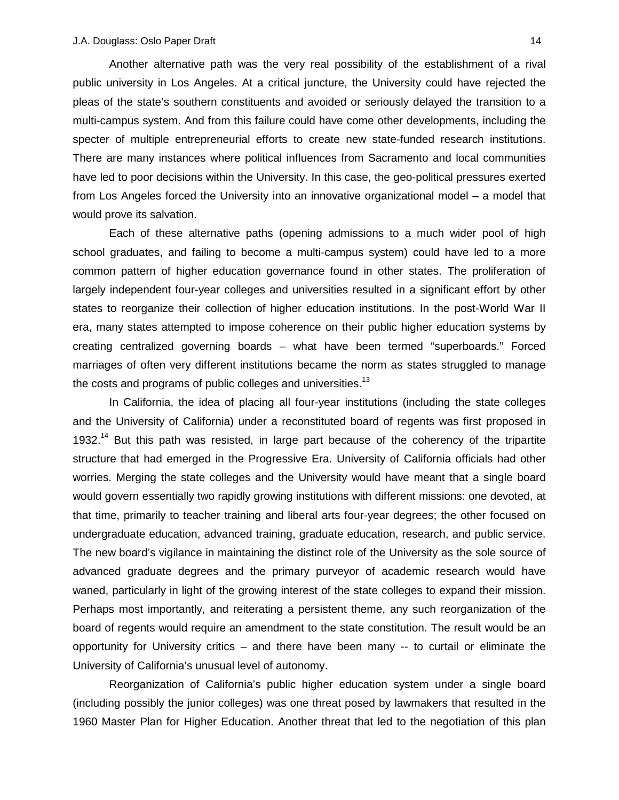Another alternative path was the very real possibility of the establishment of a rival public university in Los Angeles. At a critical juncture, the University could have rejected the pleas of the state's southern constituents and avoided or seriously delayed the transition to a multi-campus system. And from this failure could have come other developments, including the specter of multiple entrepreneurial efforts to create new state-funded research institutions. There are many instances where political influences from Sacramento and local communities have led to poor decisions within the University. In this case, the geo-political pressures exerted from Los Angeles forced the University into an innovative organizational model – a model that would prove its salvation.

Each of these alternative paths (opening admissions to a much wider pool of high school graduates, and failing to become a multi-campus system) could have led to a more common pattern of higher education governance found in other states. The proliferation of largely independent four-year colleges and universities resulted in a significant effort by other states to reorganize their collection of higher education institutions. In the post-World War II era, many states attempted to impose coherence on their public higher education systems by creating centralized governing boards – what have been termed "superboards." Forced marriages of often very different institutions became the norm as states struggled to manage the costs and programs of public colleges and universities.<sup>[13](#page-23-0)</sup>

In California, the idea of placing all four-year institutions (including the state colleges and the University of California) under a reconstituted board of regents was first proposed in 1932.<sup>14</sup> But this path was resisted, in large part because of the coherency of the tripartite structure that had emerged in the Progressive Era. University of California officials had other worries. Merging the state colleges and the University would have meant that a single board would govern essentially two rapidly growing institutions with different missions: one devoted, at that time, primarily to teacher training and liberal arts four-year degrees; the other focused on undergraduate education, advanced training, graduate education, research, and public service. The new board's vigilance in maintaining the distinct role of the University as the sole source of advanced graduate degrees and the primary purveyor of academic research would have waned, particularly in light of the growing interest of the state colleges to expand their mission. Perhaps most importantly, and reiterating a persistent theme, any such reorganization of the board of regents would require an amendment to the state constitution. The result would be an opportunity for University critics – and there have been many -- to curtail or eliminate the University of California's unusual level of autonomy.

Reorganization of California's public higher education system under a single board (including possibly the junior colleges) was one threat posed by lawmakers that resulted in the 1960 Master Plan for Higher Education. Another threat that led to the negotiation of this plan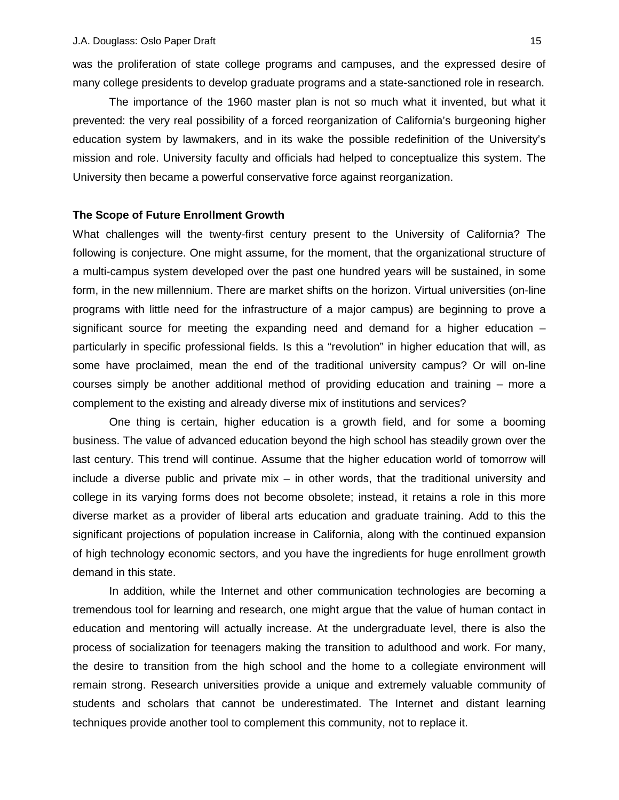was the proliferation of state college programs and campuses, and the expressed desire of many college presidents to develop graduate programs and a state-sanctioned role in research.

The importance of the 1960 master plan is not so much what it invented, but what it prevented: the very real possibility of a forced reorganization of California's burgeoning higher education system by lawmakers, and in its wake the possible redefinition of the University's mission and role. University faculty and officials had helped to conceptualize this system. The University then became a powerful conservative force against reorganization.

#### **The Scope of Future Enrollment Growth**

What challenges will the twenty-first century present to the University of California? The following is conjecture. One might assume, for the moment, that the organizational structure of a multi-campus system developed over the past one hundred years will be sustained, in some form, in the new millennium. There are market shifts on the horizon. Virtual universities (on-line programs with little need for the infrastructure of a major campus) are beginning to prove a significant source for meeting the expanding need and demand for a higher education – particularly in specific professional fields. Is this a "revolution" in higher education that will, as some have proclaimed, mean the end of the traditional university campus? Or will on-line courses simply be another additional method of providing education and training – more a complement to the existing and already diverse mix of institutions and services?

One thing is certain, higher education is a growth field, and for some a booming business. The value of advanced education beyond the high school has steadily grown over the last century. This trend will continue. Assume that the higher education world of tomorrow will include a diverse public and private mix – in other words, that the traditional university and college in its varying forms does not become obsolete; instead, it retains a role in this more diverse market as a provider of liberal arts education and graduate training. Add to this the significant projections of population increase in California, along with the continued expansion of high technology economic sectors, and you have the ingredients for huge enrollment growth demand in this state.

In addition, while the Internet and other communication technologies are becoming a tremendous tool for learning and research, one might argue that the value of human contact in education and mentoring will actually increase. At the undergraduate level, there is also the process of socialization for teenagers making the transition to adulthood and work. For many, the desire to transition from the high school and the home to a collegiate environment will remain strong. Research universities provide a unique and extremely valuable community of students and scholars that cannot be underestimated. The Internet and distant learning techniques provide another tool to complement this community, not to replace it.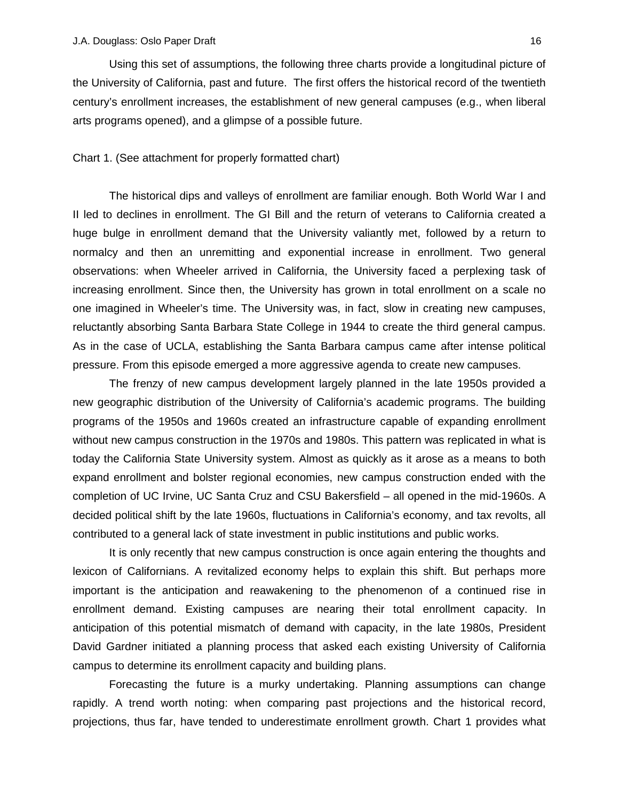Using this set of assumptions, the following three charts provide a longitudinal picture of the University of California, past and future. The first offers the historical record of the twentieth century's enrollment increases, the establishment of new general campuses (e.g., when liberal arts programs opened), and a glimpse of a possible future.

#### Chart 1. (See attachment for properly formatted chart)

The historical dips and valleys of enrollment are familiar enough. Both World War I and II led to declines in enrollment. The GI Bill and the return of veterans to California created a huge bulge in enrollment demand that the University valiantly met, followed by a return to normalcy and then an unremitting and exponential increase in enrollment. Two general observations: when Wheeler arrived in California, the University faced a perplexing task of increasing enrollment. Since then, the University has grown in total enrollment on a scale no one imagined in Wheeler's time. The University was, in fact, slow in creating new campuses, reluctantly absorbing Santa Barbara State College in 1944 to create the third general campus. As in the case of UCLA, establishing the Santa Barbara campus came after intense political pressure. From this episode emerged a more aggressive agenda to create new campuses.

The frenzy of new campus development largely planned in the late 1950s provided a new geographic distribution of the University of California's academic programs. The building programs of the 1950s and 1960s created an infrastructure capable of expanding enrollment without new campus construction in the 1970s and 1980s. This pattern was replicated in what is today the California State University system. Almost as quickly as it arose as a means to both expand enrollment and bolster regional economies, new campus construction ended with the completion of UC Irvine, UC Santa Cruz and CSU Bakersfield – all opened in the mid-1960s. A decided political shift by the late 1960s, fluctuations in California's economy, and tax revolts, all contributed to a general lack of state investment in public institutions and public works.

It is only recently that new campus construction is once again entering the thoughts and lexicon of Californians. A revitalized economy helps to explain this shift. But perhaps more important is the anticipation and reawakening to the phenomenon of a continued rise in enrollment demand. Existing campuses are nearing their total enrollment capacity. In anticipation of this potential mismatch of demand with capacity, in the late 1980s, President David Gardner initiated a planning process that asked each existing University of California campus to determine its enrollment capacity and building plans.

Forecasting the future is a murky undertaking. Planning assumptions can change rapidly. A trend worth noting: when comparing past projections and the historical record, projections, thus far, have tended to underestimate enrollment growth. Chart 1 provides what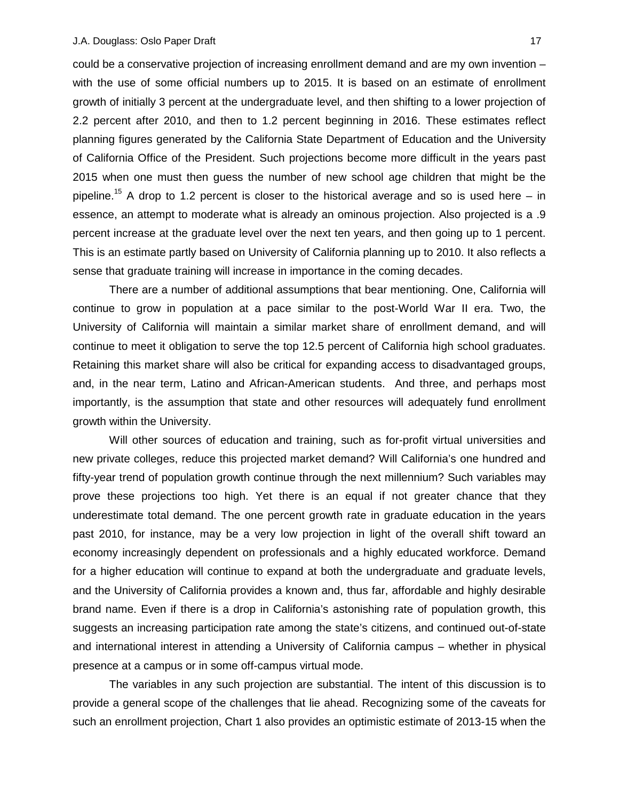could be a conservative projection of increasing enrollment demand and are my own invention – with the use of some official numbers up to 2015. It is based on an estimate of enrollment growth of initially 3 percent at the undergraduate level, and then shifting to a lower projection of 2.2 percent after 2010, and then to 1.2 percent beginning in 2016. These estimates reflect planning figures generated by the California State Department of Education and the University of California Office of the President. Such projections become more difficult in the years past 2015 when one must then guess the number of new school age children that might be the pipeline.<sup>15</sup> A drop to 1.2 percent is closer to the historical average and so is used here – in essence, an attempt to moderate what is already an ominous projection. Also projected is a .9 percent increase at the graduate level over the next ten years, and then going up to 1 percent. This is an estimate partly based on University of California planning up to 2010. It also reflects a sense that graduate training will increase in importance in the coming decades.

There are a number of additional assumptions that bear mentioning. One, California will continue to grow in population at a pace similar to the post-World War II era. Two, the University of California will maintain a similar market share of enrollment demand, and will continue to meet it obligation to serve the top 12.5 percent of California high school graduates. Retaining this market share will also be critical for expanding access to disadvantaged groups, and, in the near term, Latino and African-American students. And three, and perhaps most importantly, is the assumption that state and other resources will adequately fund enrollment growth within the University.

Will other sources of education and training, such as for-profit virtual universities and new private colleges, reduce this projected market demand? Will California's one hundred and fifty-year trend of population growth continue through the next millennium? Such variables may prove these projections too high. Yet there is an equal if not greater chance that they underestimate total demand. The one percent growth rate in graduate education in the years past 2010, for instance, may be a very low projection in light of the overall shift toward an economy increasingly dependent on professionals and a highly educated workforce. Demand for a higher education will continue to expand at both the undergraduate and graduate levels, and the University of California provides a known and, thus far, affordable and highly desirable brand name. Even if there is a drop in California's astonishing rate of population growth, this suggests an increasing participation rate among the state's citizens, and continued out-of-state and international interest in attending a University of California campus – whether in physical presence at a campus or in some off-campus virtual mode.

The variables in any such projection are substantial. The intent of this discussion is to provide a general scope of the challenges that lie ahead. Recognizing some of the caveats for such an enrollment projection, Chart 1 also provides an optimistic estimate of 2013-15 when the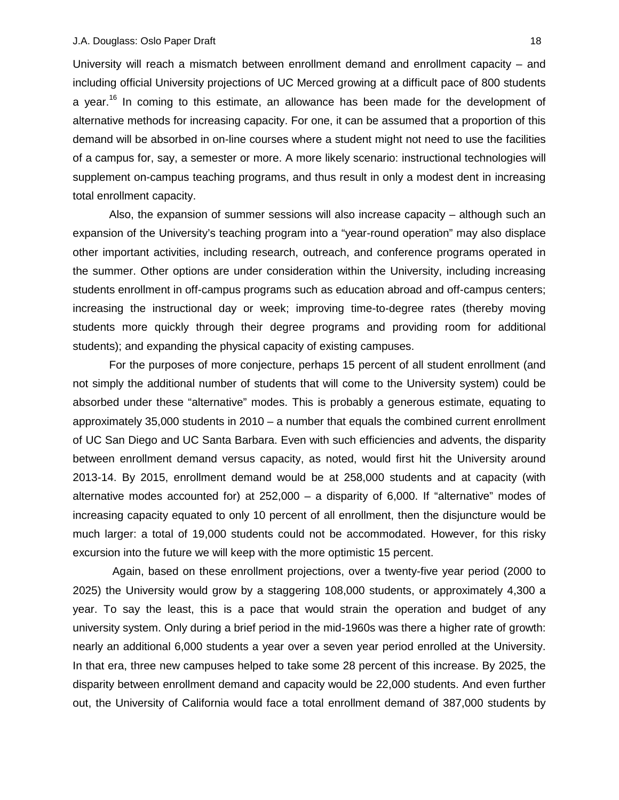University will reach a mismatch between enrollment demand and enrollment capacity – and including official University projections of UC Merced growing at a difficult pace of 800 students a year.<sup>16</sup> In coming to this estimate, an allowance has been made for the development of alternative methods for increasing capacity. For one, it can be assumed that a proportion of this demand will be absorbed in on-line courses where a student might not need to use the facilities of a campus for, say, a semester or more. A more likely scenario: instructional technologies will supplement on-campus teaching programs, and thus result in only a modest dent in increasing total enrollment capacity.

Also, the expansion of summer sessions will also increase capacity – although such an expansion of the University's teaching program into a "year-round operation" may also displace other important activities, including research, outreach, and conference programs operated in the summer. Other options are under consideration within the University, including increasing students enrollment in off-campus programs such as education abroad and off-campus centers; increasing the instructional day or week; improving time-to-degree rates (thereby moving students more quickly through their degree programs and providing room for additional students); and expanding the physical capacity of existing campuses.

For the purposes of more conjecture, perhaps 15 percent of all student enrollment (and not simply the additional number of students that will come to the University system) could be absorbed under these "alternative" modes. This is probably a generous estimate, equating to approximately 35,000 students in 2010 – a number that equals the combined current enrollment of UC San Diego and UC Santa Barbara. Even with such efficiencies and advents, the disparity between enrollment demand versus capacity, as noted, would first hit the University around 2013-14. By 2015, enrollment demand would be at 258,000 students and at capacity (with alternative modes accounted for) at 252,000 – a disparity of 6,000. If "alternative" modes of increasing capacity equated to only 10 percent of all enrollment, then the disjuncture would be much larger: a total of 19,000 students could not be accommodated. However, for this risky excursion into the future we will keep with the more optimistic 15 percent.

 Again, based on these enrollment projections, over a twenty-five year period (2000 to 2025) the University would grow by a staggering 108,000 students, or approximately 4,300 a year. To say the least, this is a pace that would strain the operation and budget of any university system. Only during a brief period in the mid-1960s was there a higher rate of growth: nearly an additional 6,000 students a year over a seven year period enrolled at the University. In that era, three new campuses helped to take some 28 percent of this increase. By 2025, the disparity between enrollment demand and capacity would be 22,000 students. And even further out, the University of California would face a total enrollment demand of 387,000 students by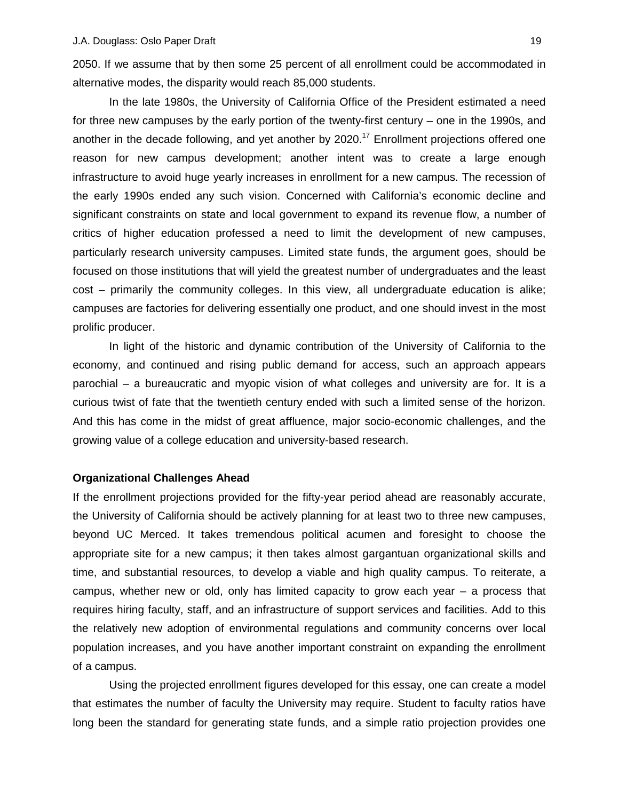2050. If we assume that by then some 25 percent of all enrollment could be accommodated in alternative modes, the disparity would reach 85,000 students.

In the late 1980s, the University of California Office of the President estimated a need for three new campuses by the early portion of the twenty-first century – one in the 1990s, and another in the decade following, and yet another by 2020.<sup>17</sup> Enrollment projections offered one reason for new campus development; another intent was to create a large enough infrastructure to avoid huge yearly increases in enrollment for a new campus. The recession of the early 1990s ended any such vision. Concerned with California's economic decline and significant constraints on state and local government to expand its revenue flow, a number of critics of higher education professed a need to limit the development of new campuses, particularly research university campuses. Limited state funds, the argument goes, should be focused on those institutions that will yield the greatest number of undergraduates and the least cost – primarily the community colleges. In this view, all undergraduate education is alike; campuses are factories for delivering essentially one product, and one should invest in the most prolific producer.

In light of the historic and dynamic contribution of the University of California to the economy, and continued and rising public demand for access, such an approach appears parochial – a bureaucratic and myopic vision of what colleges and university are for. It is a curious twist of fate that the twentieth century ended with such a limited sense of the horizon. And this has come in the midst of great affluence, major socio-economic challenges, and the growing value of a college education and university-based research.

## **Organizational Challenges Ahead**

If the enrollment projections provided for the fifty-year period ahead are reasonably accurate, the University of California should be actively planning for at least two to three new campuses, beyond UC Merced. It takes tremendous political acumen and foresight to choose the appropriate site for a new campus; it then takes almost gargantuan organizational skills and time, and substantial resources, to develop a viable and high quality campus. To reiterate, a campus, whether new or old, only has limited capacity to grow each year – a process that requires hiring faculty, staff, and an infrastructure of support services and facilities. Add to this the relatively new adoption of environmental regulations and community concerns over local population increases, and you have another important constraint on expanding the enrollment of a campus.

Using the projected enrollment figures developed for this essay, one can create a model that estimates the number of faculty the University may require. Student to faculty ratios have long been the standard for generating state funds, and a simple ratio projection provides one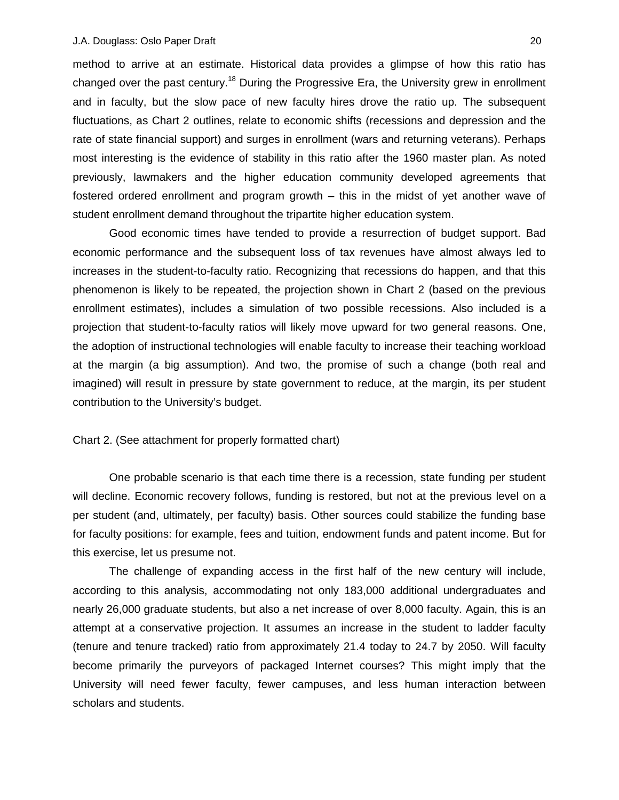method to arrive at an estimate. Historical data provides a glimpse of how this ratio has changed over the past century.<sup>18</sup> During the Progressive Era, the University grew in enrollment and in faculty, but the slow pace of new faculty hires drove the ratio up. The subsequent fluctuations, as Chart 2 outlines, relate to economic shifts (recessions and depression and the rate of state financial support) and surges in enrollment (wars and returning veterans). Perhaps most interesting is the evidence of stability in this ratio after the 1960 master plan. As noted previously, lawmakers and the higher education community developed agreements that fostered ordered enrollment and program growth – this in the midst of yet another wave of student enrollment demand throughout the tripartite higher education system.

Good economic times have tended to provide a resurrection of budget support. Bad economic performance and the subsequent loss of tax revenues have almost always led to increases in the student-to-faculty ratio. Recognizing that recessions do happen, and that this phenomenon is likely to be repeated, the projection shown in Chart 2 (based on the previous enrollment estimates), includes a simulation of two possible recessions. Also included is a projection that student-to-faculty ratios will likely move upward for two general reasons. One, the adoption of instructional technologies will enable faculty to increase their teaching workload at the margin (a big assumption). And two, the promise of such a change (both real and imagined) will result in pressure by state government to reduce, at the margin, its per student contribution to the University's budget.

Chart 2. (See attachment for properly formatted chart)

One probable scenario is that each time there is a recession, state funding per student will decline. Economic recovery follows, funding is restored, but not at the previous level on a per student (and, ultimately, per faculty) basis. Other sources could stabilize the funding base for faculty positions: for example, fees and tuition, endowment funds and patent income. But for this exercise, let us presume not.

The challenge of expanding access in the first half of the new century will include, according to this analysis, accommodating not only 183,000 additional undergraduates and nearly 26,000 graduate students, but also a net increase of over 8,000 faculty. Again, this is an attempt at a conservative projection. It assumes an increase in the student to ladder faculty (tenure and tenure tracked) ratio from approximately 21.4 today to 24.7 by 2050. Will faculty become primarily the purveyors of packaged Internet courses? This might imply that the University will need fewer faculty, fewer campuses, and less human interaction between scholars and students.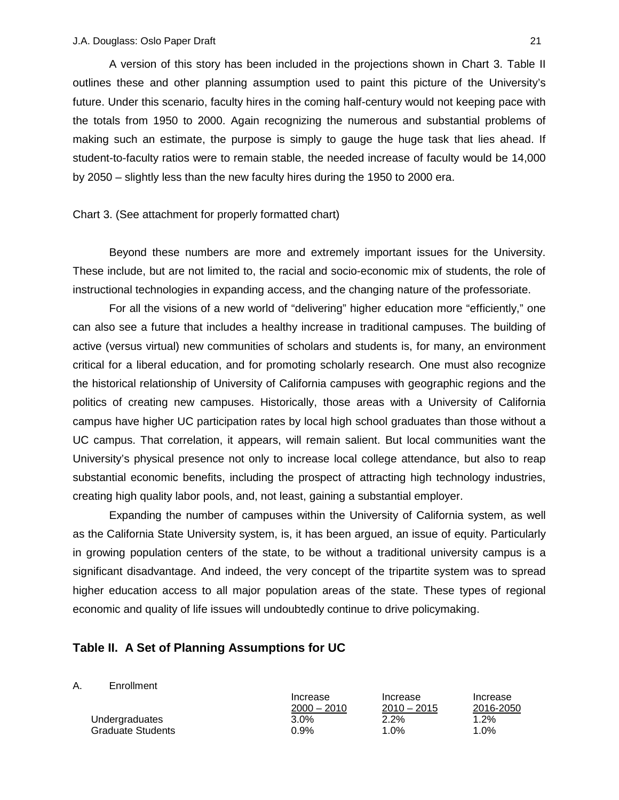A version of this story has been included in the projections shown in Chart 3. Table II outlines these and other planning assumption used to paint this picture of the University's future. Under this scenario, faculty hires in the coming half-century would not keeping pace with the totals from 1950 to 2000. Again recognizing the numerous and substantial problems of making such an estimate, the purpose is simply to gauge the huge task that lies ahead. If student-to-faculty ratios were to remain stable, the needed increase of faculty would be 14,000 by 2050 – slightly less than the new faculty hires during the 1950 to 2000 era.

### Chart 3. (See attachment for properly formatted chart)

Beyond these numbers are more and extremely important issues for the University. These include, but are not limited to, the racial and socio-economic mix of students, the role of instructional technologies in expanding access, and the changing nature of the professoriate.

For all the visions of a new world of "delivering" higher education more "efficiently," one can also see a future that includes a healthy increase in traditional campuses. The building of active (versus virtual) new communities of scholars and students is, for many, an environment critical for a liberal education, and for promoting scholarly research. One must also recognize the historical relationship of University of California campuses with geographic regions and the politics of creating new campuses. Historically, those areas with a University of California campus have higher UC participation rates by local high school graduates than those without a UC campus. That correlation, it appears, will remain salient. But local communities want the University's physical presence not only to increase local college attendance, but also to reap substantial economic benefits, including the prospect of attracting high technology industries, creating high quality labor pools, and, not least, gaining a substantial employer.

Expanding the number of campuses within the University of California system, as well as the California State University system, is, it has been argued, an issue of equity. Particularly in growing population centers of the state, to be without a traditional university campus is a significant disadvantage. And indeed, the very concept of the tripartite system was to spread higher education access to all major population areas of the state. These types of regional economic and quality of life issues will undoubtedly continue to drive policymaking.

## **Table II. A Set of Planning Assumptions for UC**

#### A. Enrollment

|                   | Increase      | Increase      | Increase        |
|-------------------|---------------|---------------|-----------------|
|                   | $2000 - 2010$ | $2010 - 2015$ | 2016-2050       |
| Undergraduates    | $3.0\%$       | $2.2\%$       | $^{\prime}$ .2% |
| Graduate Students | 0.9%          | 1.0%          | $.0\%$          |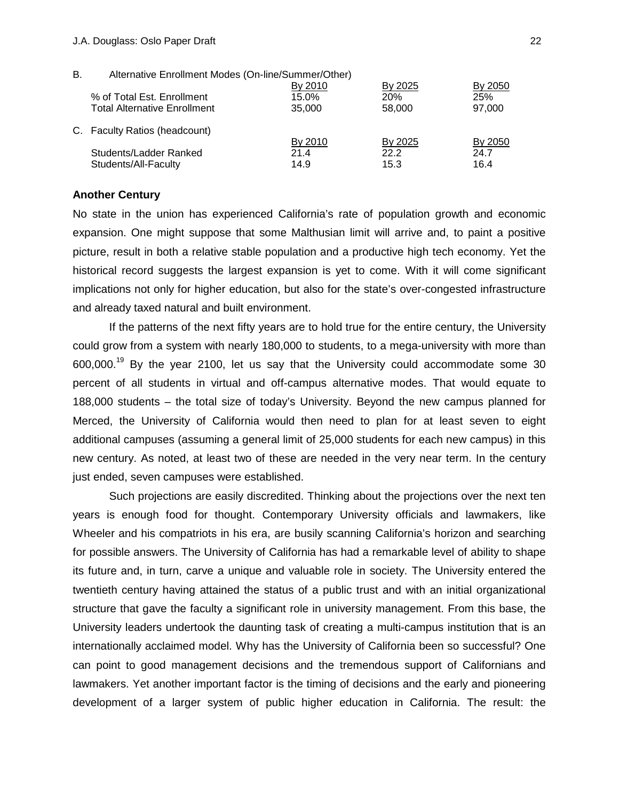#### J.A. Douglass: Oslo Paper Draft 22

| В. | Alternative Enrollment Modes (On-line/Summer/Other) |         |            |         |
|----|-----------------------------------------------------|---------|------------|---------|
|    |                                                     | By 2010 | By 2025    | By 2050 |
|    | % of Total Est. Enrollment                          | 15.0%   | <b>20%</b> | 25%     |
|    | <b>Total Alternative Enrollment</b>                 | 35,000  | 58,000     | 97,000  |
|    | C. Faculty Ratios (headcount)                       |         |            |         |
|    |                                                     | By 2010 | By 2025    | By 2050 |
|    | Students/Ladder Ranked                              | 214     | 22.2       | 24.7    |
|    | Students/All-Faculty                                | 14.9    | 15.3       | 16.4    |

## **Another Century**

No state in the union has experienced California's rate of population growth and economic expansion. One might suppose that some Malthusian limit will arrive and, to paint a positive picture, result in both a relative stable population and a productive high tech economy. Yet the historical record suggests the largest expansion is yet to come. With it will come significant implications not only for higher education, but also for the state's over-congested infrastructure and already taxed natural and built environment.

If the patterns of the next fifty years are to hold true for the entire century, the University could grow from a system with nearly 180,000 to students, to a mega-university with more than  $600,000$ <sup>19</sup> By the year 2100, let us say that the University could accommodate some 30 percent of all students in virtual and off-campus alternative modes. That would equate to 188,000 students – the total size of today's University. Beyond the new campus planned for Merced, the University of California would then need to plan for at least seven to eight additional campuses (assuming a general limit of 25,000 students for each new campus) in this new century. As noted, at least two of these are needed in the very near term. In the century just ended, seven campuses were established.

Such projections are easily discredited. Thinking about the projections over the next ten years is enough food for thought. Contemporary University officials and lawmakers, like Wheeler and his compatriots in his era, are busily scanning California's horizon and searching for possible answers. The University of California has had a remarkable level of ability to shape its future and, in turn, carve a unique and valuable role in society. The University entered the twentieth century having attained the status of a public trust and with an initial organizational structure that gave the faculty a significant role in university management. From this base, the University leaders undertook the daunting task of creating a multi-campus institution that is an internationally acclaimed model. Why has the University of California been so successful? One can point to good management decisions and the tremendous support of Californians and lawmakers. Yet another important factor is the timing of decisions and the early and pioneering development of a larger system of public higher education in California. The result: the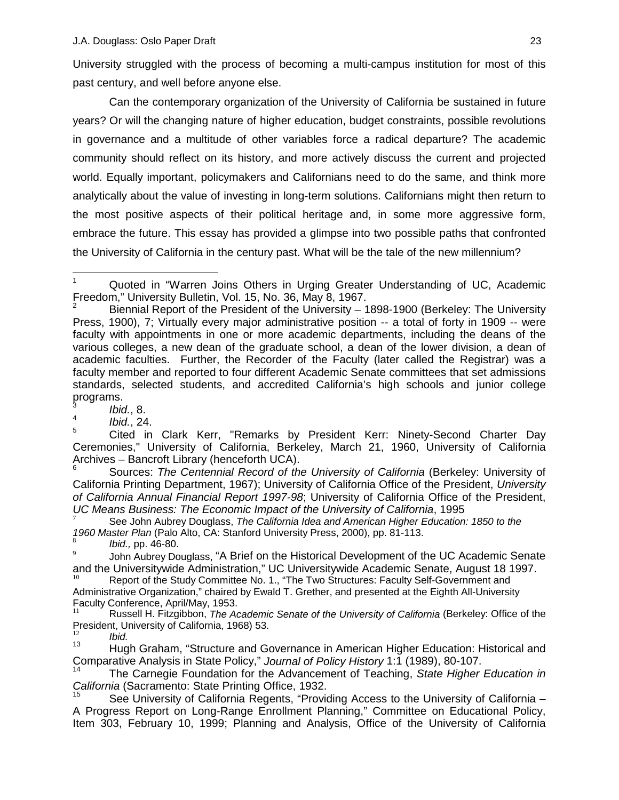University struggled with the process of becoming a multi-campus institution for most of this past century, and well before anyone else.

Can the contemporary organization of the University of California be sustained in future years? Or will the changing nature of higher education, budget constraints, possible revolutions in governance and a multitude of other variables force a radical departure? The academic community should reflect on its history, and more actively discuss the current and projected world. Equally important, policymakers and Californians need to do the same, and think more analytically about the value of investing in long-term solutions. Californians might then return to the most positive aspects of their political heritage and, in some more aggressive form, embrace the future. This essay has provided a glimpse into two possible paths that confronted the University of California in the century past. What will be the tale of the new millennium?

 $\frac{4}{5}$  *Ibid.*, 24.

<sup>5</sup> Cited in Clark Kerr, "Remarks by President Kerr: Ninety-Second Charter Day Ceremonies," University of California, Berkeley, March 21, 1960, University of California Archives – Bancroft Library (henceforth UCA).

6 Sources: *The Centennial Record of the University of California* (Berkeley: University of California Printing Department, 1967); University of California Office of the President, *University of California Annual Financial Report 1997-98*; University of California Office of the President,

See John Aubrey Douglass, The California Idea and American Higher Education: 1850 to the *1960 Master Plan* (Palo Alto, CA: Stanford University Press, 2000), pp. 81-113.<br>*<sup>8</sup> <i>Ibid.*, pp. 46-80.

John Aubrey Douglass, "A Brief on the Historical Development of the UC Academic Senate and the Universitywide Administration," UC Universitywide Academic Senate, August 18 1997.

Report of the Study Committee No. 1., "The Two Structures: Faculty Self-Government and Administrative Organization," chaired by Ewald T. Grether, and presented at the Eighth All-University Faculty Conference, April/May, 1953.

<sup>11</sup> Russell H. Fitzgibbon, *The Academic Senate of the University of California* (Berkeley: Office of the President, University of California, 1968) 53.

 $\frac{12}{13}$  *Ibid.* 

<sup>13</sup> Hugh Graham, "Structure and Governance in American Higher Education: Historical and<br>Comparative Analysis in State Policy," Journal of Policy History 1:1 (1989), 80-107.

<sup>14</sup> The Carnegie Foundation for the Advancement of Teaching, State Higher Education in California (Sacramento: State Printing Office, 1932.

See University of California Regents, "Providing Access to the University of California – A Progress Report on Long-Range Enrollment Planning," Committee on Educational Policy, Item 303, February 10, 1999; Planning and Analysis, Office of the University of California

 $\overline{a}$ 1 Quoted in "Warren Joins Others in Urging Greater Understanding of UC, Academic Freedom," University Bulletin, Vol. 15, No. 36, May 8, 1967.

<sup>2</sup> Biennial Report of the President of the University – 1898-1900 (Berkeley: The University Press, 1900), 7; Virtually every major administrative position -- a total of forty in 1909 -- were faculty with appointments in one or more academic departments, including the deans of the various colleges, a new dean of the graduate school, a dean of the lower division, a dean of academic faculties. Further, the Recorder of the Faculty (later called the Registrar) was a faculty member and reported to four different Academic Senate committees that set admissions standards, selected students, and accredited California's high schools and junior college programs.

 $\frac{3}{4}$  *Ibid.*, 8.